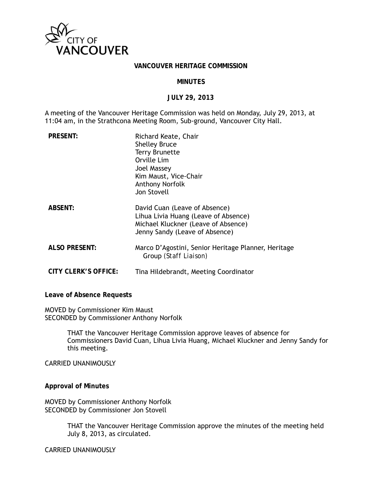

#### **VANCOUVER HERITAGE COMMISSION**

#### **MINUTES**

#### **JULY 29, 2013**

A meeting of the Vancouver Heritage Commission was held on Monday, July 29, 2013, at 11:04 am, in the Strathcona Meeting Room, Sub-ground, Vancouver City Hall.

| <b>PRESENT:</b>      | Richard Keate, Chair<br><b>Shelley Bruce</b><br><b>Terry Brunette</b><br>Orville Lim<br>Joel Massey<br>Kim Maust, Vice-Chair<br><b>Anthony Norfolk</b><br>Jon Stovell |
|----------------------|-----------------------------------------------------------------------------------------------------------------------------------------------------------------------|
| <b>ABSENT:</b>       | David Cuan (Leave of Absence)<br>Lihua Livia Huang (Leave of Absence)<br>Michael Kluckner (Leave of Absence)<br>Jenny Sandy (Leave of Absence)                        |
| <b>ALSO PRESENT:</b> | Marco D'Agostini, Senior Heritage Planner, Heritage<br>Group (Staff Liaison)                                                                                          |
| CITY CLERK'S OFFICE: | Tina Hildebrandt, Meeting Coordinator                                                                                                                                 |

**Leave of Absence Requests** 

MOVED by Commissioner Kim Maust SECONDED by Commissioner Anthony Norfolk

> THAT the Vancouver Heritage Commission approve leaves of absence for Commissioners David Cuan, Lihua Livia Huang, Michael Kluckner and Jenny Sandy for this meeting.

CARRIED UNANIMOUSLY

**Approval of Minutes** 

MOVED by Commissioner Anthony Norfolk SECONDED by Commissioner Jon Stovell

> THAT the Vancouver Heritage Commission approve the minutes of the meeting held July 8, 2013, as circulated.

CARRIED UNANIMOUSLY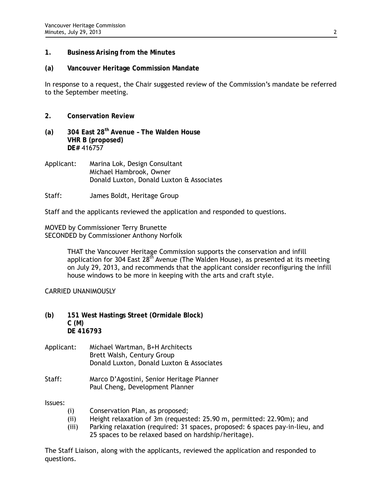- **1. Business Arising from the Minutes**
- **(a) Vancouver Heritage Commission Mandate**

In response to a request, the Chair suggested review of the Commission's mandate be referred to the September meeting.

- **2. Conservation Review**
- **(a) 304 East 28th Avenue The Walden House VHR B (proposed) DE#** 416757
- Applicant: Marina Lok, Design Consultant Michael Hambrook, Owner Donald Luxton, Donald Luxton & Associates
- Staff: James Boldt, Heritage Group

Staff and the applicants reviewed the application and responded to questions.

MOVED by Commissioner Terry Brunette SECONDED by Commissioner Anthony Norfolk

> THAT the Vancouver Heritage Commission supports the conservation and infill application for 304 East  $28<sup>th</sup>$  Avenue (The Walden House), as presented at its meeting on July 29, 2013, and recommends that the applicant consider reconfiguring the infill house windows to be more in keeping with the arts and craft style.

CARRIED UNANIMOUSLY

- **(b) 151 West Hastings Street (Ormidale Block) C (M) DE 416793**
- Applicant: Michael Wartman, B+H Architects Brett Walsh, Century Group Donald Luxton, Donald Luxton & Associates
- Staff: Marco D'Agostini, Senior Heritage Planner Paul Cheng, Development Planner

Issues:

- (i) Conservation Plan, as proposed;
- (ii) Height relaxation of 3m (requested: 25.90 m, permitted: 22.90m); and
- (iii) Parking relaxation (required: 31 spaces, proposed: 6 spaces pay-in-lieu, and 25 spaces to be relaxed based on hardship/heritage).

The Staff Liaison, along with the applicants, reviewed the application and responded to questions.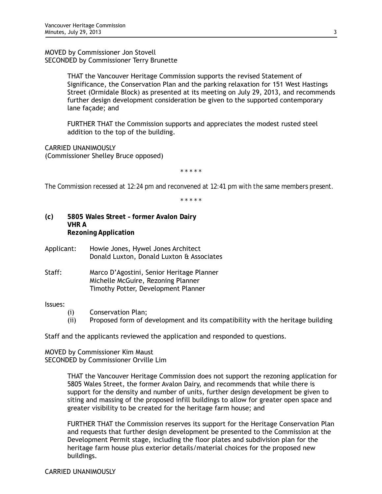MOVED by Commissioner Jon Stovell SECONDED by Commissioner Terry Brunette

> THAT the Vancouver Heritage Commission supports the revised Statement of Significance, the Conservation Plan and the parking relaxation for 151 West Hastings Street (Ormidale Block) as presented at its meeting on July 29, 2013, and recommends further design development consideration be given to the supported contemporary lane façade; and

FURTHER THAT the Commission supports and appreciates the modest rusted steel addition to the top of the building.

CARRIED UNANIMOUSLY (Commissioner Shelley Bruce opposed)

*\* \* \* \* \** 

*The Commission recessed at 12:24 pm and reconvened at 12:41 pm with the same members present.* 

*\* \* \* \* \** 

- **(c) 5805 Wales Street former Avalon Dairy VHR A Rezoning Application**
- Applicant: Howie Jones, Hywel Jones Architect Donald Luxton, Donald Luxton & Associates
- Staff: Marco D'Agostini, Senior Heritage Planner Michelle McGuire, Rezoning Planner Timothy Potter, Development Planner

# Issues:

- (i) Conservation Plan;
- (ii) Proposed form of development and its compatibility with the heritage building

Staff and the applicants reviewed the application and responded to questions.

MOVED by Commissioner Kim Maust SECONDED by Commissioner Orville Lim

> THAT the Vancouver Heritage Commission does not support the rezoning application for 5805 Wales Street, the former Avalon Dairy, and recommends that while there is support for the density and number of units, further design development be given to siting and massing of the proposed infill buildings to allow for greater open space and greater visibility to be created for the heritage farm house; and

> FURTHER THAT the Commission reserves its support for the Heritage Conservation Plan and requests that further design development be presented to the Commission at the Development Permit stage, including the floor plates and subdivision plan for the heritage farm house plus exterior details/material choices for the proposed new buildings.